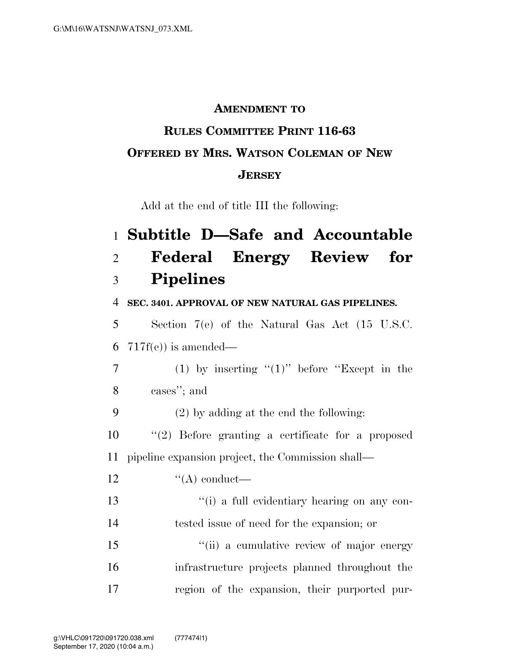## **AMENDMENT TO**

## **RULES COMMITTEE PRINT 116-63 OFFERED BY MRS. WATSON COLEMAN OF NEW JERSEY**

Add at the end of title III the following:

|                | 1 Subtitle D-Safe and Accountable                           |
|----------------|-------------------------------------------------------------|
| $\overline{2}$ | <b>Federal Energy Review</b><br>for                         |
| 3              | <b>Pipelines</b>                                            |
| $\overline{4}$ | SEC. 3401. APPROVAL OF NEW NATURAL GAS PIPELINES.           |
| 5              | Section $7(e)$ of the Natural Gas Act $(15 \text{ U.S.C.})$ |
| 6              | $717f(e)$ ) is amended—                                     |
| 7              | (1) by inserting " $(1)$ " before "Except in the            |
| 8              | cases"; and                                                 |
| 9              | $(2)$ by adding at the end the following:                   |
| 10             | $(2)$ Before granting a certificate for a proposed          |
| 11             | pipeline expansion project, the Commission shall—           |
| 12             | $\lq\lq$ conduct—                                           |
| 13             | "(i) a full evidentiary hearing on any con-                 |
| 14             | tested issue of need for the expansion; or                  |
| 15             | "(ii) a cumulative review of major energy                   |
| 16             | infrastructure projects planned throughout the              |
| 17             | region of the expansion, their purported pur-               |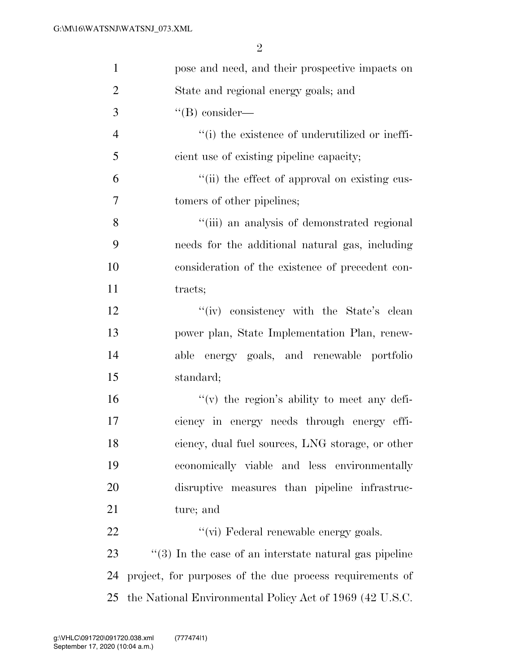| $\mathbf{1}$   | pose and need, and their prospective impacts on            |
|----------------|------------------------------------------------------------|
| $\overline{2}$ | State and regional energy goals; and                       |
| 3              | $\lq\lq (B)$ consider—                                     |
| $\overline{4}$ | "(i) the existence of underutilized or ineffi-             |
| 5              | cient use of existing pipeline capacity;                   |
| 6              | "(ii) the effect of approval on existing cus-              |
| $\tau$         | tomers of other pipelines;                                 |
| 8              | "(iii) an analysis of demonstrated regional                |
| 9              | needs for the additional natural gas, including            |
| 10             | consideration of the existence of precedent con-           |
| 11             | tracts;                                                    |
| 12             | "(iv) consistency with the State's clean                   |
| 13             | power plan, State Implementation Plan, renew-              |
| 14             | able energy goals, and renewable portfolio                 |
| 15             | standard;                                                  |
| 16             | "(v) the region's ability to meet any defi-                |
| 17             | ciency in energy needs through energy effi-                |
| 18             | ciency, dual fuel sources, LNG storage, or other           |
| 19             | economically viable and less environmentally               |
| 20             | disruptive measures than pipeline infrastruc-              |
| 21             | ture; and                                                  |
| 22             | "(vi) Federal renewable energy goals.                      |
| 23             | $\lq(3)$ In the case of an interstate natural gas pipeline |
| 24             | project, for purposes of the due process requirements of   |
| 25             | the National Environmental Policy Act of 1969 (42 U.S.C.   |